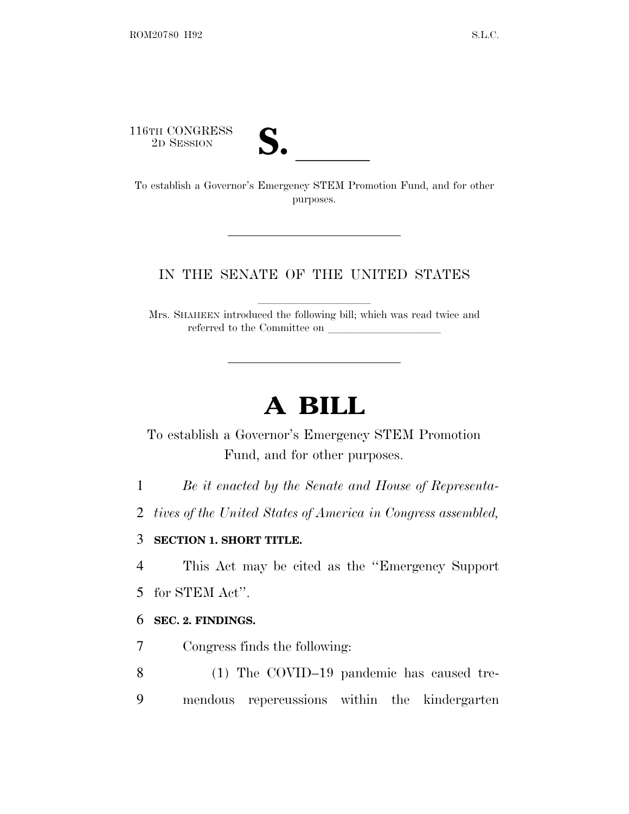116TH CONGRESS<br>2D SESSION



16TH CONGRESS<br>
2D SESSION<br>
To establish a Governor's Emergency STEM Promotion Fund, and for other purposes.

## IN THE SENATE OF THE UNITED STATES

Mrs. SHAHEEN introduced the following bill; which was read twice and referred to the Committee on

## **A BILL**

To establish a Governor's Emergency STEM Promotion Fund, and for other purposes.

1 *Be it enacted by the Senate and House of Representa-*

2 *tives of the United States of America in Congress assembled,*

## 3 **SECTION 1. SHORT TITLE.**

4 This Act may be cited as the ''Emergency Support

5 for STEM Act''.

## 6 **SEC. 2. FINDINGS.**

7 Congress finds the following:

8 (1) The COVID–19 pandemic has caused tre-9 mendous repercussions within the kindergarten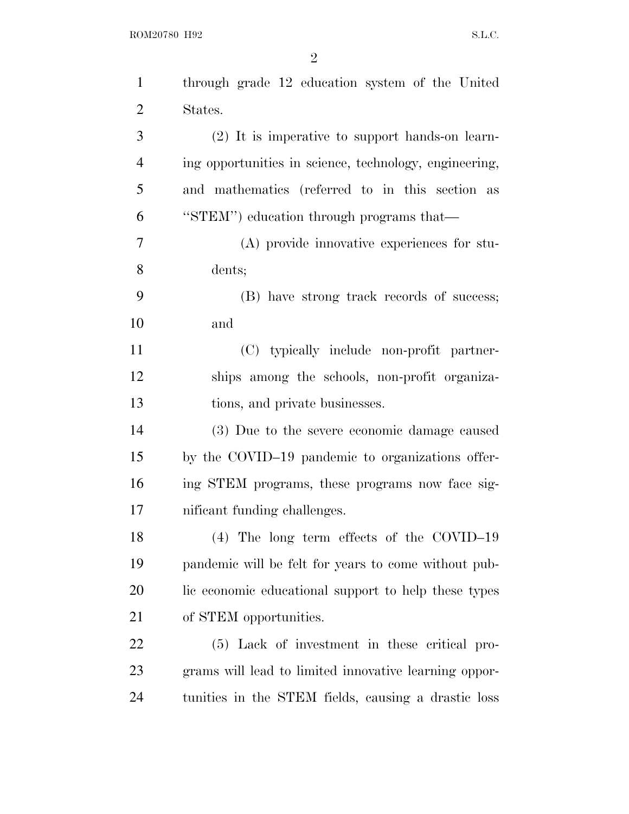ROM20780 H92 S.L.C.

| through grade 12 education system of the United        |
|--------------------------------------------------------|
| States.                                                |
| (2) It is imperative to support hands-on learn-        |
| ing opportunities in science, technology, engineering, |
| and mathematics (referred to in this section as        |
| "STEM") education through programs that—               |
| (A) provide innovative experiences for stu-            |
| dents;                                                 |
| (B) have strong track records of success;              |
| and                                                    |
| (C) typically include non-profit partner-              |
| ships among the schools, non-profit organiza-          |
| tions, and private businesses.                         |
| (3) Due to the severe economic damage caused           |
| by the COVID-19 pandemic to organizations offer-       |
| ing STEM programs, these programs now face sig-        |
| nificant funding challenges.                           |
| $(4)$ The long term effects of the COVID-19            |
| pandemic will be felt for years to come without pub-   |
| lic economic educational support to help these types   |
| of STEM opportunities.                                 |
| (5) Lack of investment in these critical pro-          |
|                                                        |
| grams will lead to limited innovative learning oppor-  |
|                                                        |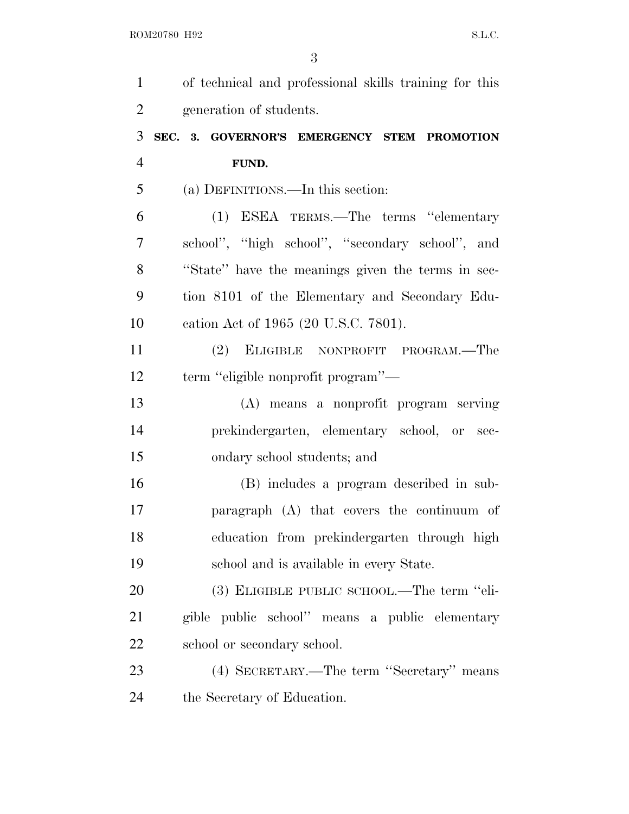| $\mathbf{1}$   | of technical and professional skills training for this |
|----------------|--------------------------------------------------------|
| $\overline{2}$ | generation of students.                                |
| 3              | SEC. 3. GOVERNOR'S EMERGENCY STEM PROMOTION            |
| $\overline{4}$ | FUND.                                                  |
| 5              | (a) DEFINITIONS.—In this section:                      |
| 6              | (1) ESEA TERMS.—The terms "elementary                  |
| 7              | school", "high school", "secondary school", and        |
| 8              | "State" have the meanings given the terms in sec-      |
| 9              | tion 8101 of the Elementary and Secondary Edu-         |
| 10             | cation Act of 1965 (20 U.S.C. 7801).                   |
| 11             | (2) ELIGIBLE NONPROFIT PROGRAM.—The                    |
| 12             | term "eligible nonprofit program"—                     |
| 13             | (A) means a nonprofit program serving                  |
| 14             | prekindergarten, elementary school, or sec-            |
| 15             | ondary school students; and                            |
| 16             | (B) includes a program described in sub-               |
| 17             | paragraph (A) that covers the continuum of             |
| 18             | education from prekindergarten through high            |
| 19             | school and is available in every State.                |
| 20             | (3) ELIGIBLE PUBLIC SCHOOL.—The term "eli-             |
| 21             | gible public school" means a public elementary         |
| 22             | school or secondary school.                            |
| 23             | (4) SECRETARY.—The term "Secretary" means              |
| 24             | the Secretary of Education.                            |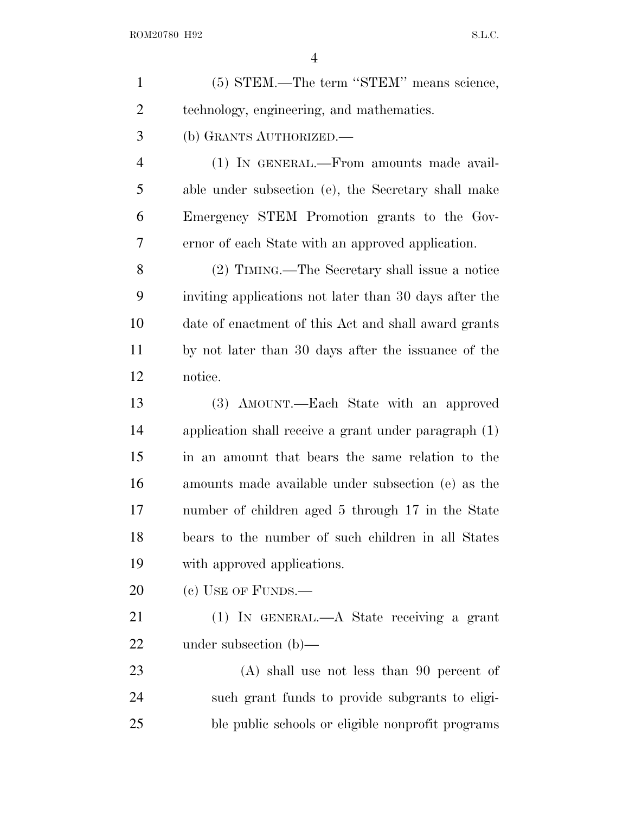| $\mathbf{1}$   | (5) STEM.—The term "STEM" means science,                |
|----------------|---------------------------------------------------------|
| $\overline{2}$ | technology, engineering, and mathematics.               |
| 3              | (b) GRANTS AUTHORIZED.                                  |
| $\overline{4}$ | (1) IN GENERAL.-From amounts made avail-                |
| 5              | able under subsection (e), the Secretary shall make     |
| 6              | Emergency STEM Promotion grants to the Gov-             |
| 7              | ernor of each State with an approved application.       |
| 8              | (2) TIMING.—The Secretary shall issue a notice          |
| 9              | inviting applications not later than 30 days after the  |
| 10             | date of enactment of this Act and shall award grants    |
| 11             | by not later than 30 days after the issuance of the     |
| 12             | notice.                                                 |
| 13             | (3) AMOUNT.—Each State with an approved                 |
| 14             | application shall receive a grant under paragraph $(1)$ |
| 15             | in an amount that bears the same relation to the        |
| 16             | amounts made available under subsection (e) as the      |
| 17             | number of children aged 5 through 17 in the State       |
| 18             | bears to the number of such children in all States      |
| 19             | with approved applications.                             |
| 20             | (c) USE OF FUNDS.—                                      |
| 21             | (1) IN GENERAL.—A State receiving a grant               |
| 22             | under subsection $(b)$ —                                |
| 23             | $(A)$ shall use not less than 90 percent of             |
| 24             | such grant funds to provide subgrants to eligi-         |
| 25             | ble public schools or eligible nonprofit programs       |
|                |                                                         |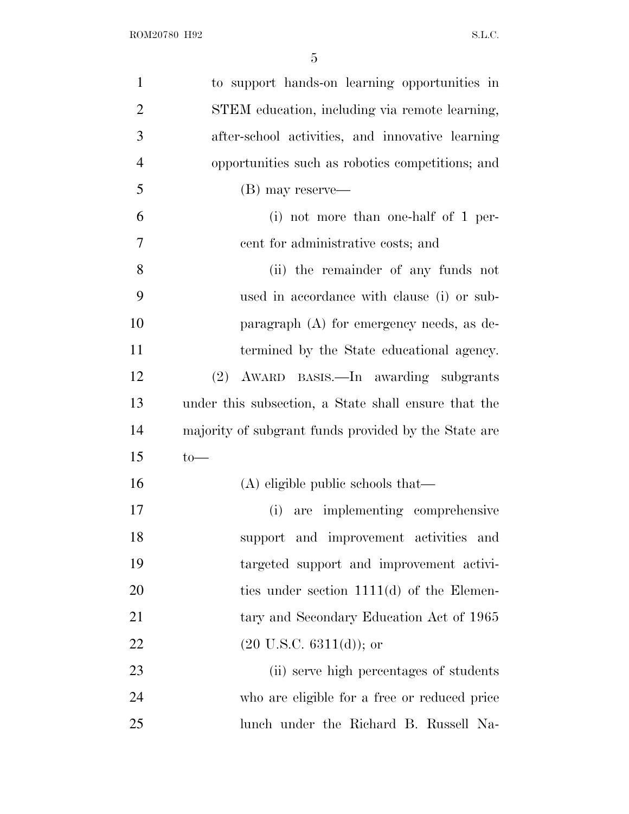| $\mathbf{1}$   | to support hands-on learning opportunities in        |
|----------------|------------------------------------------------------|
| $\overline{2}$ | STEM education, including via remote learning,       |
| 3              | after-school activities, and innovative learning     |
| $\overline{4}$ | opportunities such as robotics competitions; and     |
| 5              | (B) may reserve—                                     |
| 6              | $(i)$ not more than one-half of 1 per-               |
| $\tau$         | cent for administrative costs; and                   |
| 8              | (ii) the remainder of any funds not                  |
| 9              | used in accordance with clause (i) or sub-           |
| 10             | paragraph (A) for emergency needs, as de-            |
| 11             | termined by the State educational agency.            |
| 12             | (2) AWARD BASIS.—In awarding subgrants               |
| 13             | under this subsection, a State shall ensure that the |
| 14             | majority of subgrant funds provided by the State are |
| 15             | $to-$                                                |
| 16             | (A) eligible public schools that—                    |
| 17             | (i) are implementing comprehensive                   |
| 18             | support and improvement activities and               |
| 19             | targeted support and improvement activi-             |
| 20             | ties under section $1111(d)$ of the Elemen-          |
| 21             | tary and Secondary Education Act of 1965             |
| 22             | $(20 \text{ U.S.C. } 6311(d));$ or                   |
| 23             | (ii) serve high percentages of students              |
| 24             | who are eligible for a free or reduced price         |
| 25             | lunch under the Richard B. Russell Na-               |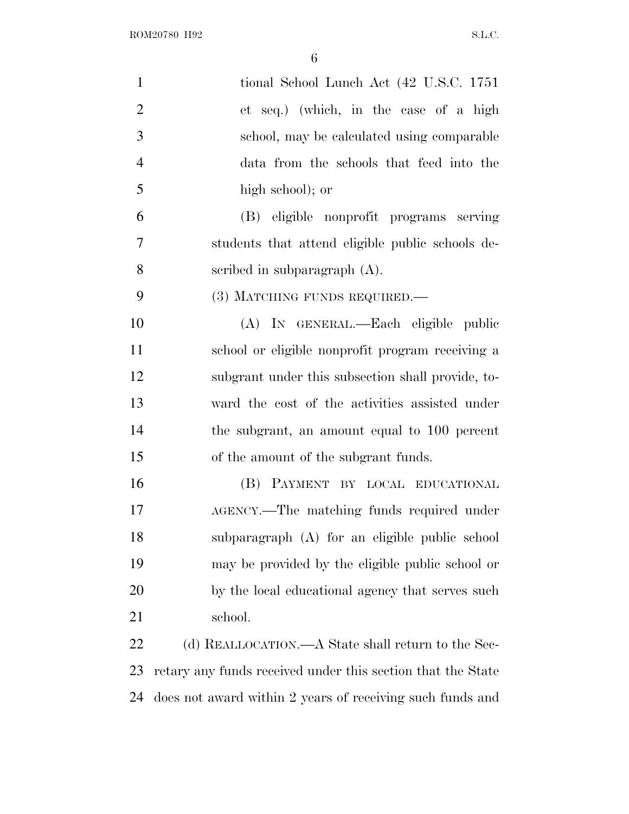| $\mathbf{1}$   | tional School Lunch Act (42 U.S.C. 1751)                    |
|----------------|-------------------------------------------------------------|
| $\overline{2}$ | et seq.) (which, in the case of a high                      |
| 3              | school, may be calculated using comparable                  |
| $\overline{4}$ | data from the schools that feed into the                    |
| 5              | high school); or                                            |
| 6              | (B) eligible nonprofit programs serving                     |
| $\tau$         | students that attend eligible public schools de-            |
| 8              | scribed in subparagraph $(A)$ .                             |
| 9              | (3) MATCHING FUNDS REQUIRED.—                               |
| 10             | (A) IN GENERAL.—Each eligible public                        |
| 11             | school or eligible nonprofit program receiving a            |
| 12             | subgrant under this subsection shall provide, to-           |
| 13             | ward the cost of the activities assisted under              |
| 14             | the subgrant, an amount equal to 100 percent                |
| 15             | of the amount of the subgrant funds.                        |
| 16             | (B) PAYMENT BY LOCAL EDUCATIONAL                            |
| 17             | AGENCY.—The matching funds required under                   |
| 18             | subparagraph (A) for an eligible public school              |
| 19             | may be provided by the eligible public school or            |
| 20             | by the local educational agency that serves such            |
| 21             | school.                                                     |
| 22             | (d) REALLOCATION.—A State shall return to the Sec-          |
| 23             | retary any funds received under this section that the State |
| 24             | does not award within 2 years of receiving such funds and   |